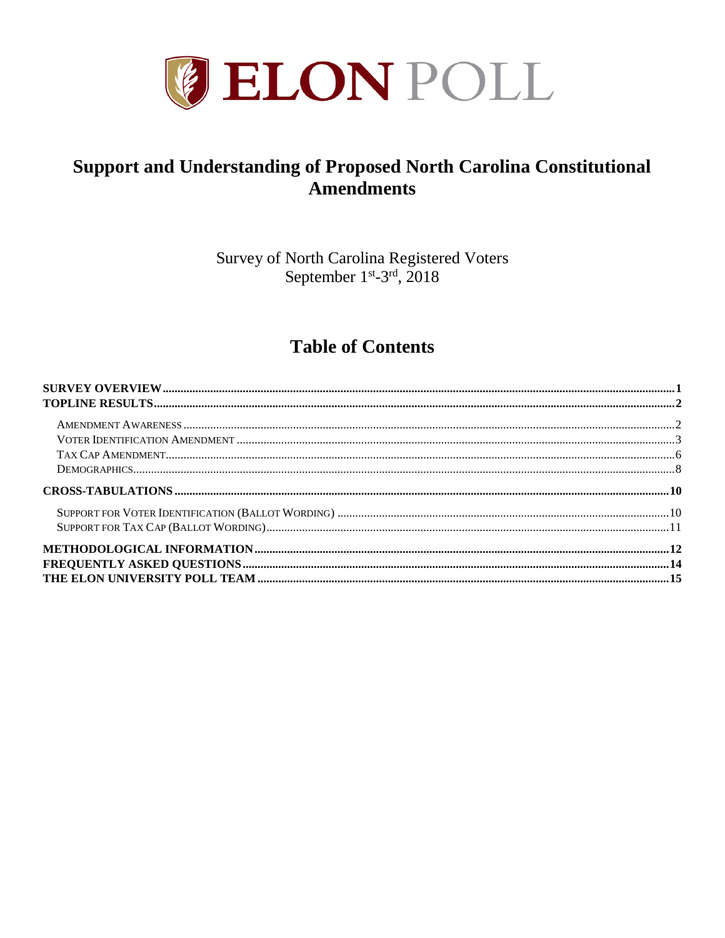

# **Support and Understanding of Proposed North Carolina Constitutional Amendments**

Survey of North Carolina Registered Voters September 1<sup>st</sup>-3<sup>rd</sup>, 2018

# **Table of Contents**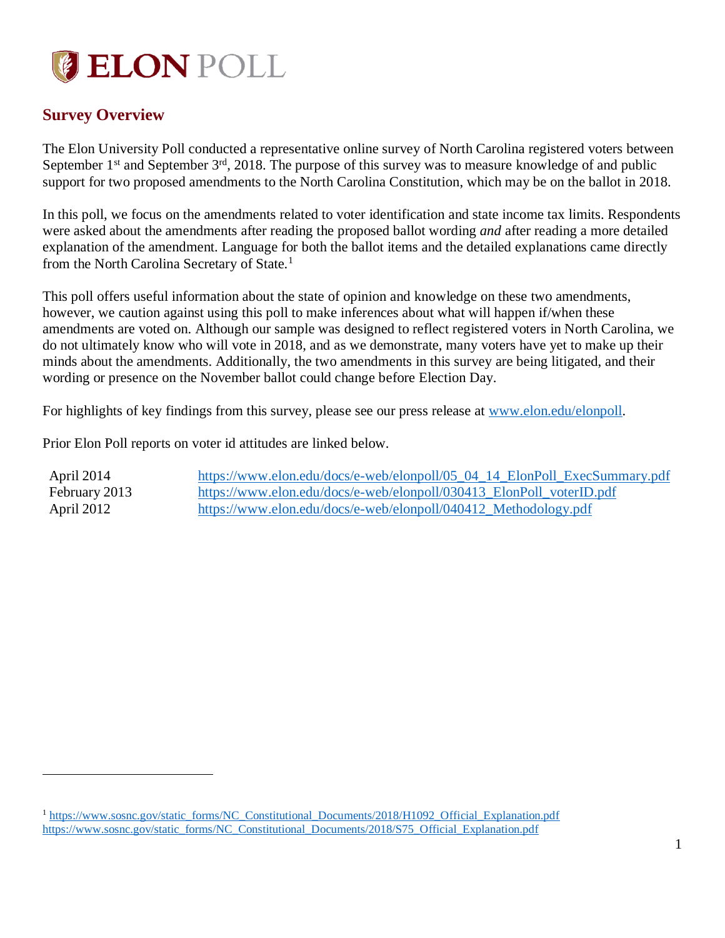

# <span id="page-1-0"></span>**Survey Overview**

 $\overline{a}$ 

The Elon University Poll conducted a representative online survey of North Carolina registered voters between September  $1<sup>st</sup>$  and September  $3<sup>rd</sup>$ , 2018. The purpose of this survey was to measure knowledge of and public support for two proposed amendments to the North Carolina Constitution, which may be on the ballot in 2018.

In this poll, we focus on the amendments related to voter identification and state income tax limits. Respondents were asked about the amendments after reading the proposed ballot wording *and* after reading a more detailed explanation of the amendment. Language for both the ballot items and the detailed explanations came directly from the North Carolina Secretary of State.<sup>1</sup>

This poll offers useful information about the state of opinion and knowledge on these two amendments, however, we caution against using this poll to make inferences about what will happen if/when these amendments are voted on. Although our sample was designed to reflect registered voters in North Carolina, we do not ultimately know who will vote in 2018, and as we demonstrate, many voters have yet to make up their minds about the amendments. Additionally, the two amendments in this survey are being litigated, and their wording or presence on the November ballot could change before Election Day.

For highlights of key findings from this survey, please see our press release at [www.elon.edu/elonpoll.](http://www.elon.edu/elonpoll)

Prior Elon Poll reports on voter id attitudes are linked below.

| April 2014    | https://www.elon.edu/docs/e-web/elonpoll/05_04_14_ElonPoll_ExecSummary.pdf |
|---------------|----------------------------------------------------------------------------|
| February 2013 | https://www.elon.edu/docs/e-web/elonpoll/030413_ElonPoll_voterID.pdf       |
| April 2012    | https://www.elon.edu/docs/e-web/elonpoll/040412_Methodology.pdf            |

<sup>1</sup> [https://www.sosnc.gov/static\\_forms/NC\\_Constitutional\\_Documents/2018/H1092\\_Official\\_Explanation.pdf](https://www.sosnc.gov/static_forms/NC_Constitutional_Documents/2018/H1092_Official_Explanation.pdf) [https://www.sosnc.gov/static\\_forms/NC\\_Constitutional\\_Documents/2018/S75\\_Official\\_Explanation.pdf](https://www.sosnc.gov/static_forms/NC_Constitutional_Documents/2018/S75_Official_Explanation.pdf)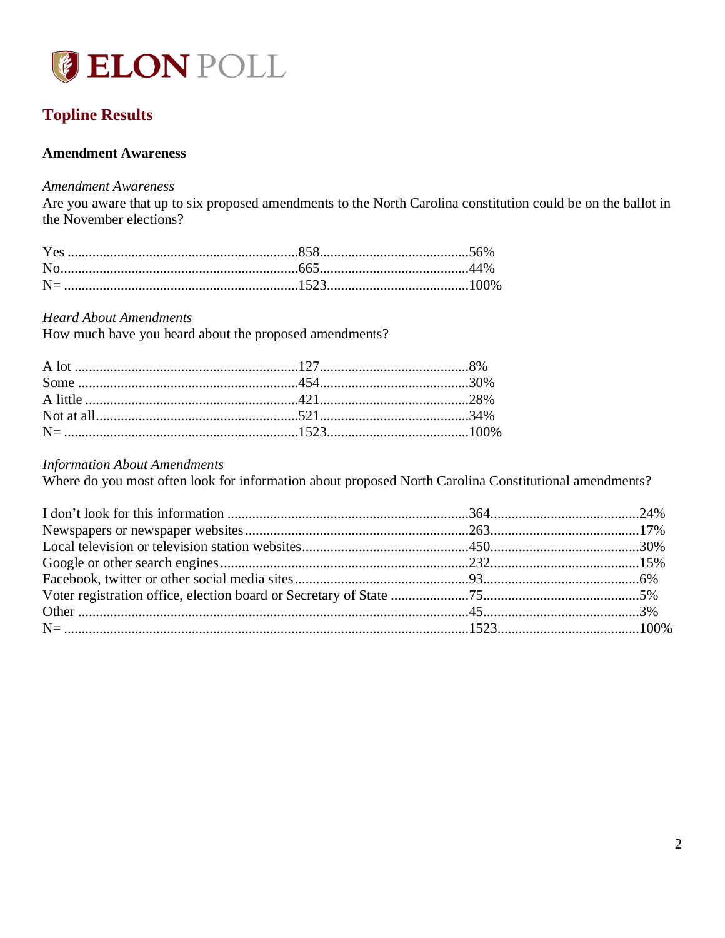

# <span id="page-2-0"></span>**Topline Results**

### <span id="page-2-1"></span>**Amendment Awareness**

### **Amendment Awareness**

Are you aware that up to six proposed amendments to the North Carolina constitution could be on the ballot in the November elections?

#### **Heard About Amendments**

How much have you heard about the proposed amendments?

### **Information About Amendments**

Where do you most often look for information about proposed North Carolina Constitutional amendments?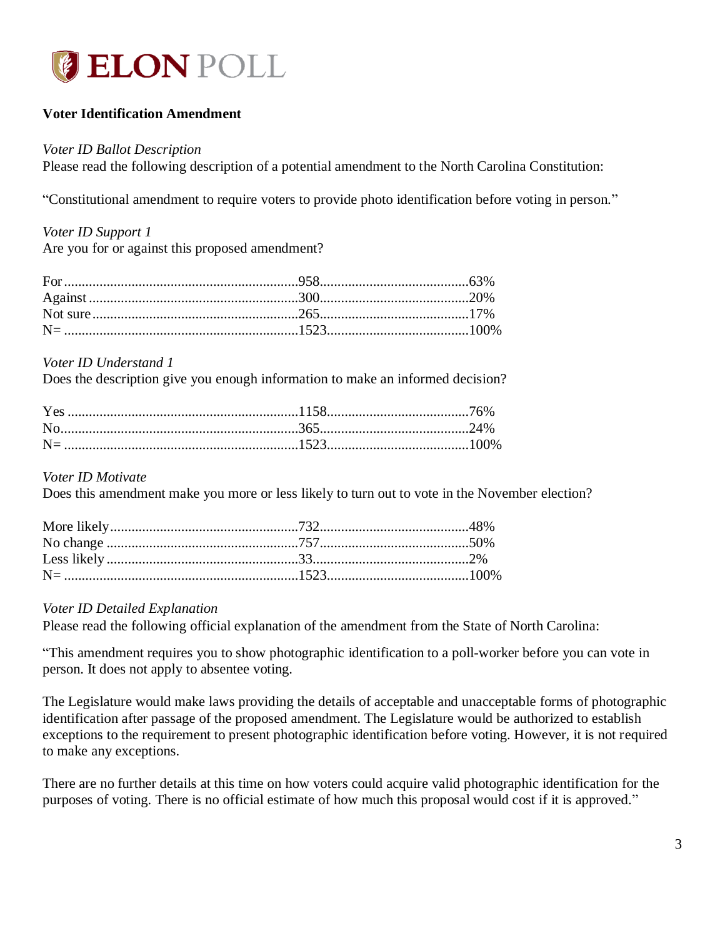

### <span id="page-3-0"></span>**Voter Identification Amendment**

### *Voter ID Ballot Description*

Please read the following description of a potential amendment to the North Carolina Constitution:

"Constitutional amendment to require voters to provide photo identification before voting in person."

*Voter ID Support 1* Are you for or against this proposed amendment?

### *Voter ID Understand 1*

Does the description give you enough information to make an informed decision?

### *Voter ID Motivate*

Does this amendment make you more or less likely to turn out to vote in the November election?

### *Voter ID Detailed Explanation*

Please read the following official explanation of the amendment from the State of North Carolina:

"This amendment requires you to show photographic identification to a poll-worker before you can vote in person. It does not apply to absentee voting.

The Legislature would make laws providing the details of acceptable and unacceptable forms of photographic identification after passage of the proposed amendment. The Legislature would be authorized to establish exceptions to the requirement to present photographic identification before voting. However, it is not required to make any exceptions.

There are no further details at this time on how voters could acquire valid photographic identification for the purposes of voting. There is no official estimate of how much this proposal would cost if it is approved."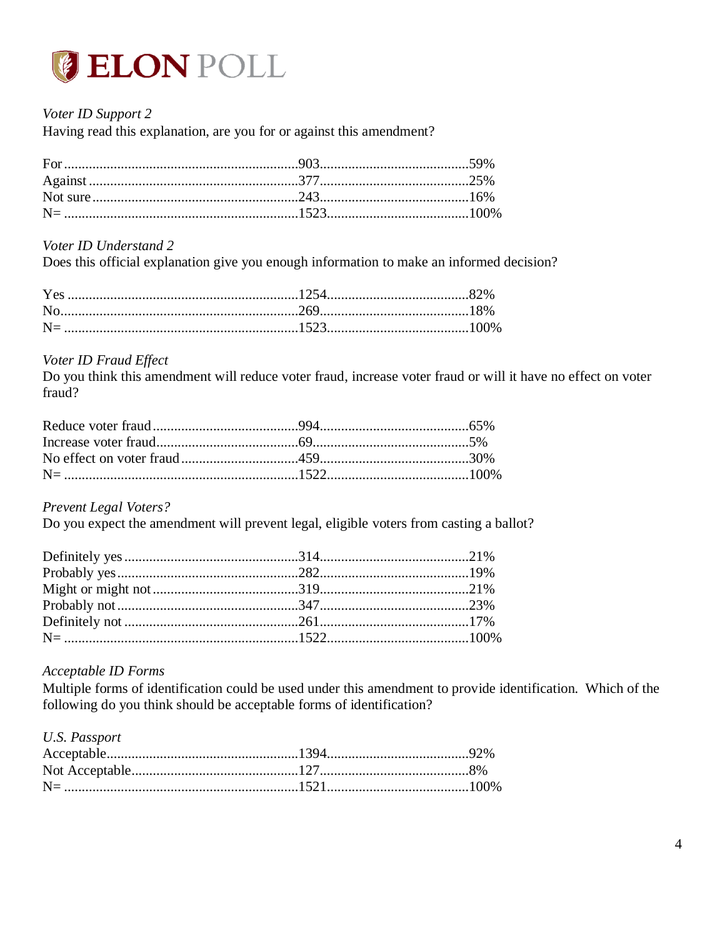

### Voter ID Support 2

Having read this explanation, are you for or against this amendment?

### Voter ID Understand 2

Does this official explanation give you enough information to make an informed decision?

### Voter ID Fraud Effect

Do you think this amendment will reduce voter fraud, increase voter fraud or will it have no effect on voter fraud?

**Prevent Legal Voters?** 

Do you expect the amendment will prevent legal, eligible voters from casting a ballot?

### Acceptable ID Forms

Multiple forms of identification could be used under this amendment to provide identification. Which of the following do you think should be acceptable forms of identification?

### **U.S. Passport**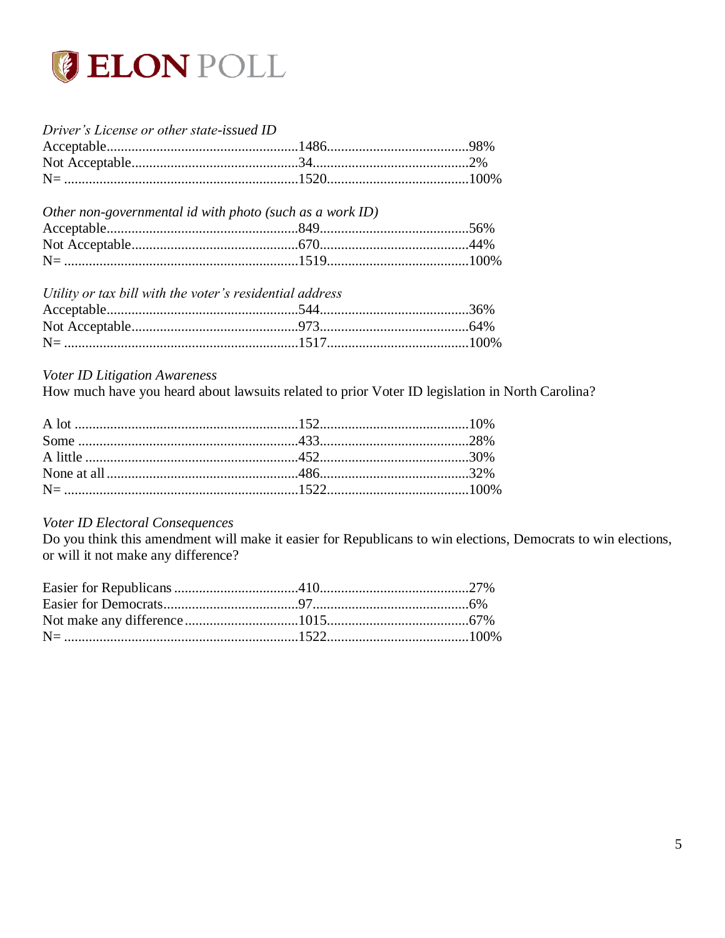

| Driver's License or other state-issued ID                |                         |  |
|----------------------------------------------------------|-------------------------|--|
|                                                          |                         |  |
|                                                          |                         |  |
|                                                          |                         |  |
| Other non-governmental id with photo (such as a work ID) |                         |  |
|                                                          |                         |  |
|                                                          |                         |  |
|                                                          | $N = 100\%$             |  |
| Utility or tax bill with the voter's residential address |                         |  |
|                                                          | $\text{Acceptable}$ 36% |  |

### Voter ID Litigation Awareness

How much have you heard about lawsuits related to prior Voter ID legislation in North Carolina?

### Voter ID Electoral Consequences

Do you think this amendment will make it easier for Republicans to win elections, Democrats to win elections, or will it not make any difference?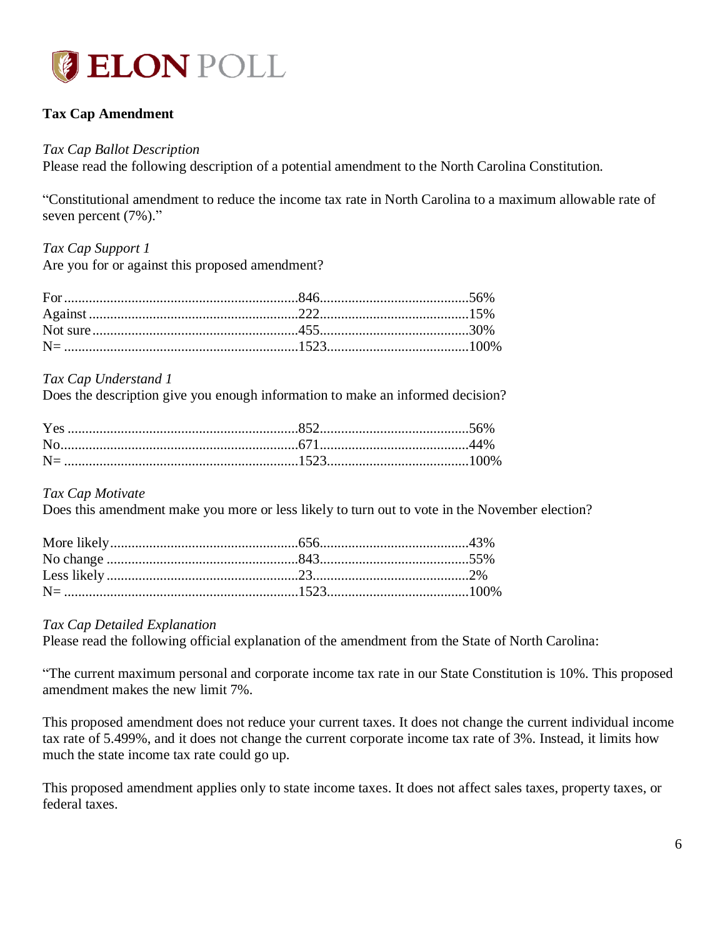

### <span id="page-6-0"></span>**Tax Cap Amendment**

#### *Tax Cap Ballot Description*

Please read the following description of a potential amendment to the North Carolina Constitution.

"Constitutional amendment to reduce the income tax rate in North Carolina to a maximum allowable rate of seven percent (7%)."

### *Tax Cap Support 1*

Are you for or against this proposed amendment?

#### *Tax Cap Understand 1*

Does the description give you enough information to make an informed decision?

#### *Tax Cap Motivate*

Does this amendment make you more or less likely to turn out to vote in the November election?

### *Tax Cap Detailed Explanation*

Please read the following official explanation of the amendment from the State of North Carolina:

"The current maximum personal and corporate income tax rate in our State Constitution is 10%. This proposed amendment makes the new limit 7%.

This proposed amendment does not reduce your current taxes. It does not change the current individual income tax rate of 5.499%, and it does not change the current corporate income tax rate of 3%. Instead, it limits how much the state income tax rate could go up.

This proposed amendment applies only to state income taxes. It does not affect sales taxes, property taxes, or federal taxes.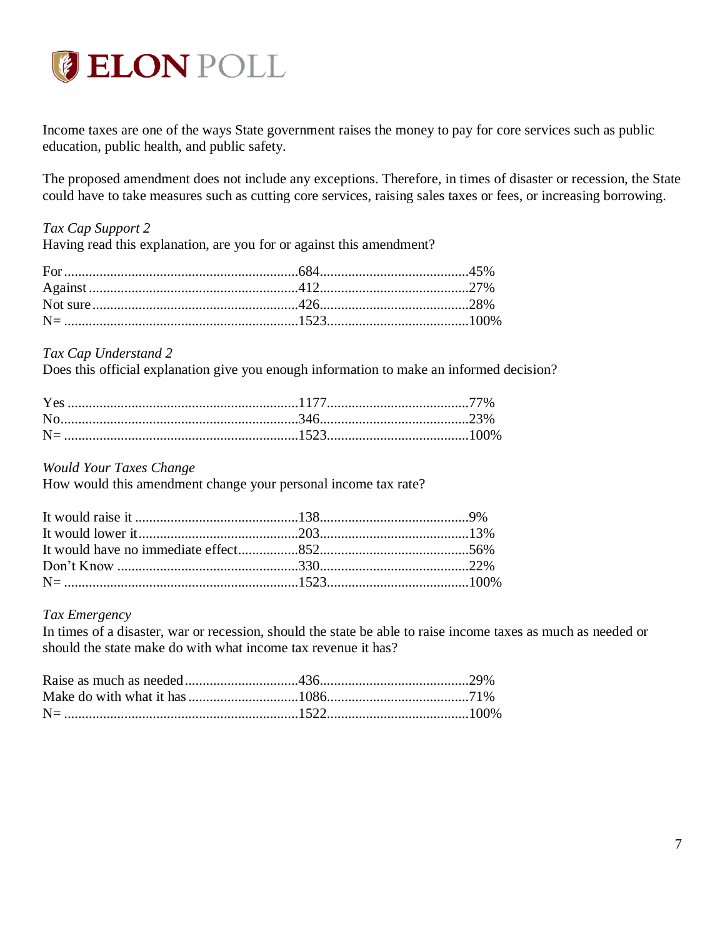

Income taxes are one of the ways State government raises the money to pay for core services such as public education, public health, and public safety.

The proposed amendment does not include any exceptions. Therefore, in times of disaster or recession, the State could have to take measures such as cutting core services, raising sales taxes or fees, or increasing borrowing.

### *Tax Cap Support 2*

Having read this explanation, are you for or against this amendment?

### *Tax Cap Understand 2*

Does this official explanation give you enough information to make an informed decision?

*Would Your Taxes Change*

How would this amendment change your personal income tax rate?

### *Tax Emergency*

In times of a disaster, war or recession, should the state be able to raise income taxes as much as needed or should the state make do with what income tax revenue it has?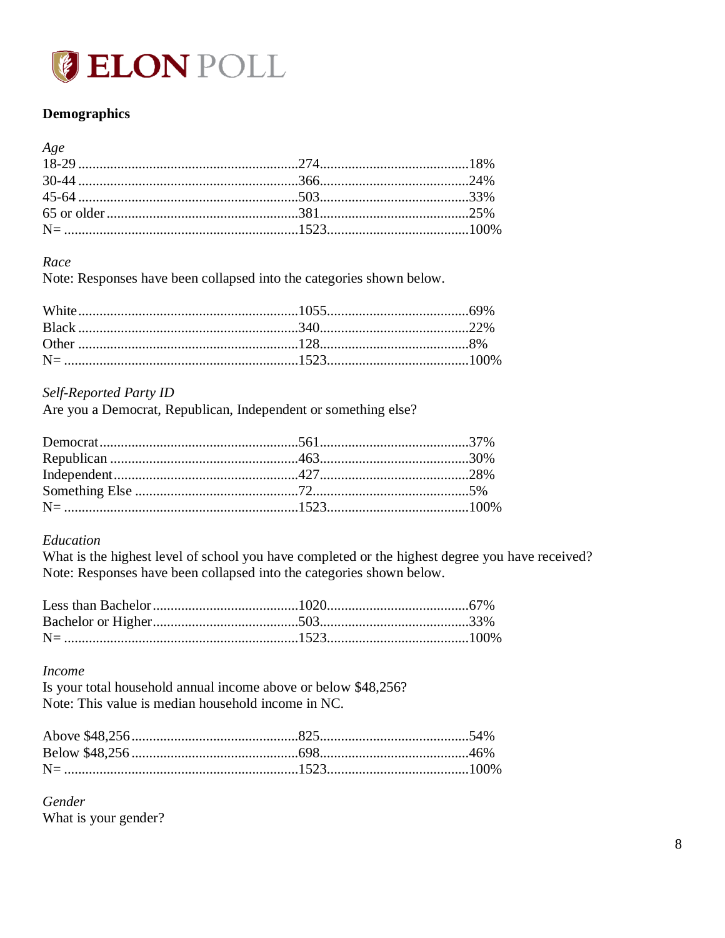

### <span id="page-8-0"></span>**Demographics**

#### Age

### Race

Note: Responses have been collapsed into the categories shown below.

### Self-Reported Party ID

Are you a Democrat, Republican, Independent or something else?

### Education

What is the highest level of school you have completed or the highest degree you have received? Note: Responses have been collapsed into the categories shown below.

### **Income**

Is your total household annual income above or below \$48,256? Note: This value is median household income in NC.

Gender What is your gender?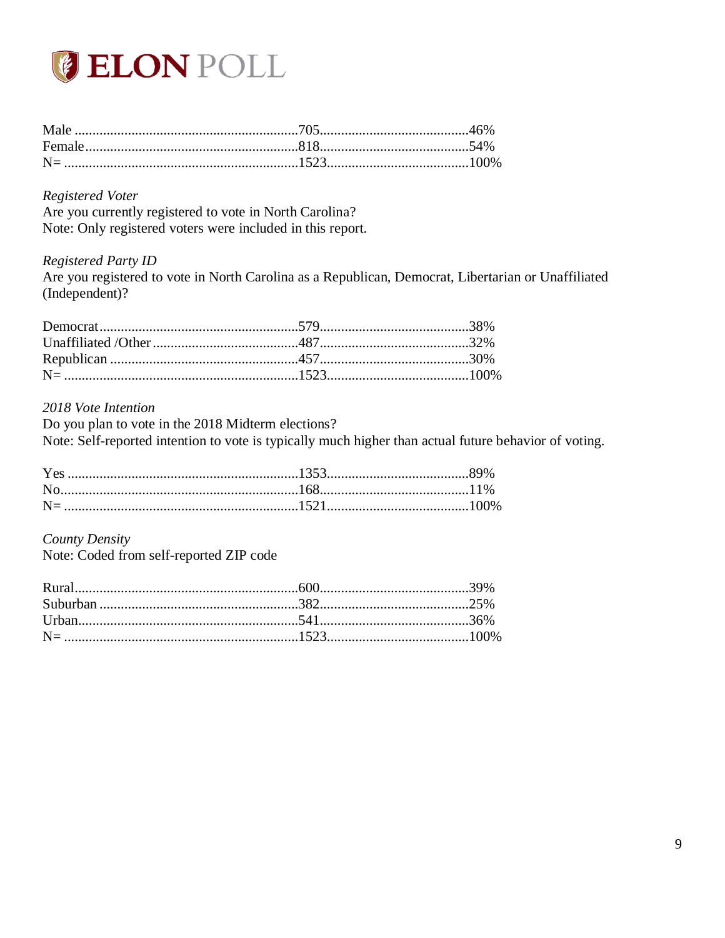

### **Registered Voter**

Are you currently registered to vote in North Carolina? Note: Only registered voters were included in this report.

### **Registered Party ID**

Are you registered to vote in North Carolina as a Republican, Democrat, Libertarian or Unaffiliated (Independent)?

#### 2018 Vote Intention

Do you plan to vote in the 2018 Midterm elections? Note: Self-reported intention to vote is typically much higher than actual future behavior of voting.

#### County Density

Note: Coded from self-reported ZIP code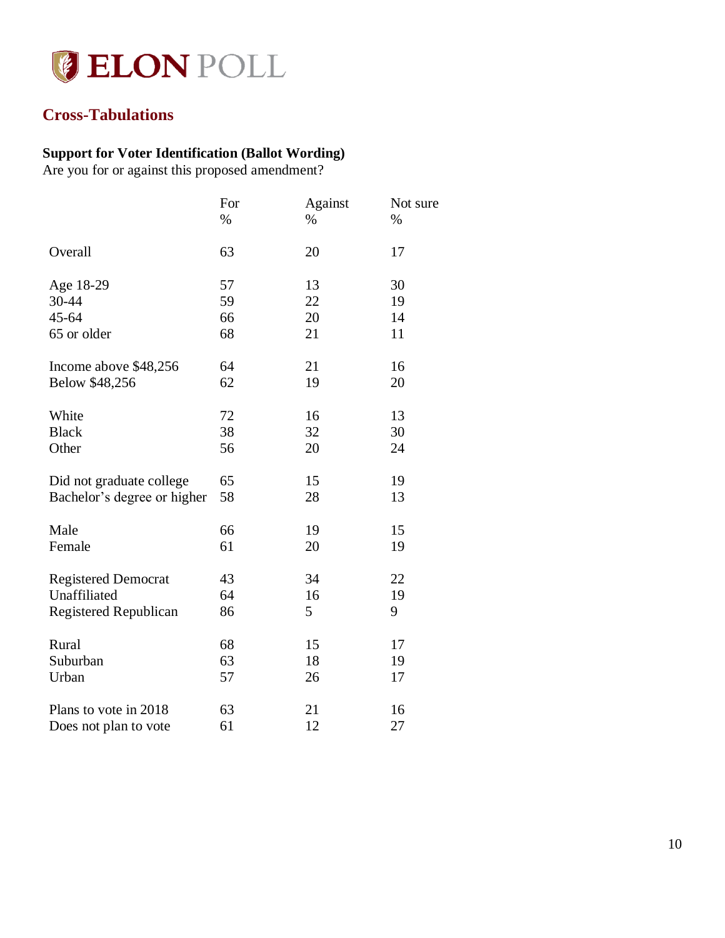

# <span id="page-10-0"></span>**Cross-Tabulations**

### <span id="page-10-1"></span>**Support for Voter Identification (Ballot Wording)**

Are you for or against this proposed amendment?

|                              | For  | Against | Not sure |
|------------------------------|------|---------|----------|
|                              | $\%$ | $\%$    | $\%$     |
| Overall                      | 63   | 20      | 17       |
| Age 18-29                    | 57   | 13      | 30       |
| 30-44                        | 59   | 22      | 19       |
| $45 - 64$                    | 66   | 20      | 14       |
| 65 or older                  | 68   | 21      | 11       |
| Income above \$48,256        | 64   | 21      | 16       |
| Below \$48,256               | 62   | 19      | 20       |
| White                        | 72   | 16      | 13       |
| <b>Black</b>                 | 38   | 32      | 30       |
| Other                        | 56   | 20      | 24       |
| Did not graduate college     | 65   | 15      | 19       |
| Bachelor's degree or higher  | 58   | 28      | 13       |
| Male                         | 66   | 19      | 15       |
| Female                       | 61   | 20      | 19       |
| <b>Registered Democrat</b>   | 43   | 34      | 22       |
| Unaffiliated                 | 64   | 16      | 19       |
| <b>Registered Republican</b> | 86   | 5       | 9        |
| Rural                        | 68   | 15      | 17       |
| Suburban                     | 63   | 18      | 19       |
| Urban                        | 57   | 26      | 17       |
| Plans to vote in 2018        | 63   | 21      | 16       |
| Does not plan to vote        | 61   | 12      | 27       |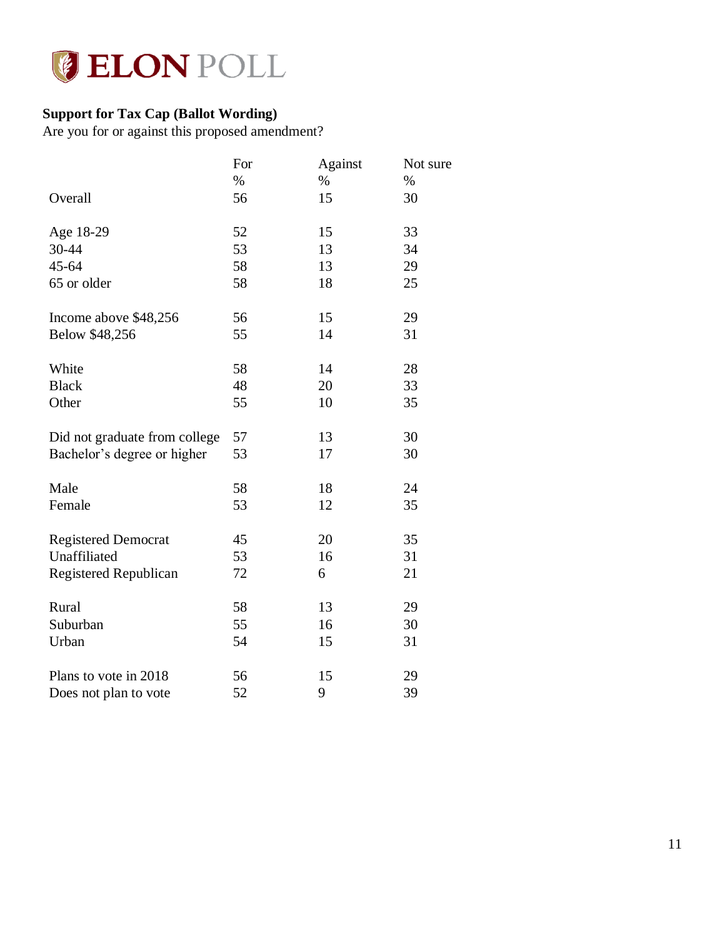

# <span id="page-11-0"></span>**Support for Tax Cap (Ballot Wording)**

Are you for or against this proposed amendment?

|                               | For  | Against | Not sure |
|-------------------------------|------|---------|----------|
|                               | $\%$ | $\%$    | $\%$     |
| Overall                       | 56   | 15      | 30       |
| Age 18-29                     | 52   | 15      | 33       |
| 30-44                         | 53   | 13      | 34       |
| 45-64                         | 58   | 13      | 29       |
| 65 or older                   | 58   | 18      | 25       |
| Income above \$48,256         | 56   | 15      | 29       |
| Below \$48,256                | 55   | 14      | 31       |
| White                         | 58   | 14      | 28       |
| <b>Black</b>                  | 48   | 20      | 33       |
| Other                         | 55   | 10      | 35       |
| Did not graduate from college | 57   | 13      | 30       |
| Bachelor's degree or higher   | 53   | 17      | 30       |
| Male                          | 58   | 18      | 24       |
| Female                        | 53   | 12      | 35       |
| <b>Registered Democrat</b>    | 45   | 20      | 35       |
| Unaffiliated                  | 53   | 16      | 31       |
| <b>Registered Republican</b>  | 72   | 6       | 21       |
| Rural                         | 58   | 13      | 29       |
| Suburban                      | 55   | 16      | 30       |
| Urban                         | 54   | 15      | 31       |
| Plans to vote in 2018         | 56   | 15      | 29       |
| Does not plan to vote         | 52   | 9       | 39       |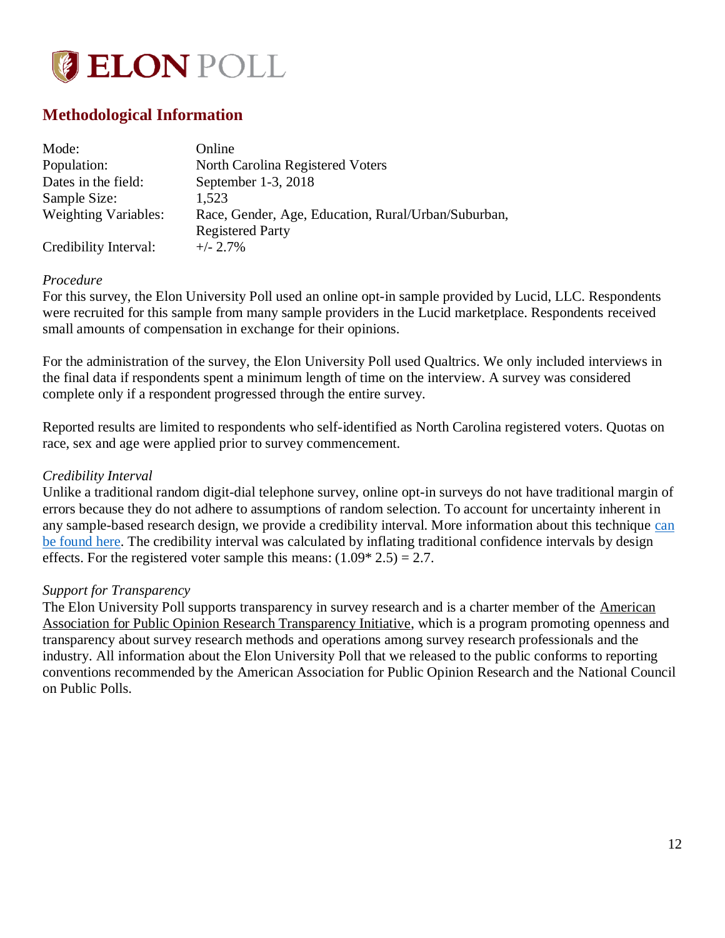

## <span id="page-12-0"></span>**Methodological Information**

| Mode:                       | Online                                              |
|-----------------------------|-----------------------------------------------------|
| Population:                 | North Carolina Registered Voters                    |
| Dates in the field:         | September 1-3, 2018                                 |
| Sample Size:                | 1,523                                               |
| <b>Weighting Variables:</b> | Race, Gender, Age, Education, Rural/Urban/Suburban, |
|                             | <b>Registered Party</b>                             |
| Credibility Interval:       | $+/- 2.7\%$                                         |

### *Procedure*

For this survey, the Elon University Poll used an online opt-in sample provided by Lucid, LLC. Respondents were recruited for this sample from many sample providers in the Lucid marketplace. Respondents received small amounts of compensation in exchange for their opinions.

For the administration of the survey, the Elon University Poll used Qualtrics. We only included interviews in the final data if respondents spent a minimum length of time on the interview. A survey was considered complete only if a respondent progressed through the entire survey.

Reported results are limited to respondents who self-identified as North Carolina registered voters. Quotas on race, sex and age were applied prior to survey commencement.

### *Credibility Interval*

Unlike a traditional random digit-dial telephone survey, online opt-in surveys do not have traditional margin of errors because they do not adhere to assumptions of random selection. To account for uncertainty inherent in any sample-based research design, we provide a credibility interval. More information about this technique [can](https://www.aapor.org/Education-Resources/Election-Polling-Resources/Margin-of-Sampling-Error-Credibility-Interval.aspx)  [be found here.](https://www.aapor.org/Education-Resources/Election-Polling-Resources/Margin-of-Sampling-Error-Credibility-Interval.aspx) The credibility interval was calculated by inflating traditional confidence intervals by design effects. For the registered voter sample this means:  $(1.09 * 2.5) = 2.7$ .

### *Support for Transparency*

The Elon University Poll supports transparency in survey research and is a charter member of the American Association for Public Opinion Research Transparency Initiative, which is a program promoting openness and transparency about survey research methods and operations among survey research professionals and the industry. All information about the Elon University Poll that we released to the public conforms to reporting conventions recommended by the American Association for Public Opinion Research and the National Council on Public Polls.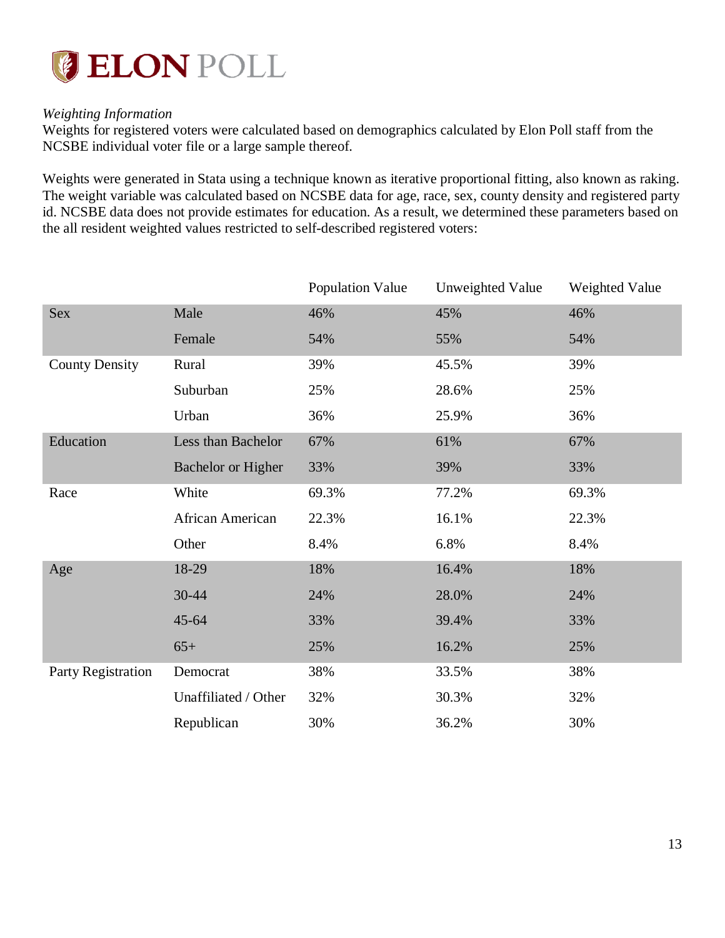

### *Weighting Information*

Weights for registered voters were calculated based on demographics calculated by Elon Poll staff from the NCSBE individual voter file or a large sample thereof.

Weights were generated in Stata using a technique known as iterative proportional fitting, also known as raking. The weight variable was calculated based on NCSBE data for age, race, sex, county density and registered party id. NCSBE data does not provide estimates for education. As a result, we determined these parameters based on the all resident weighted values restricted to self-described registered voters:

|                       |                           | <b>Population Value</b> | Unweighted Value | Weighted Value |
|-----------------------|---------------------------|-------------------------|------------------|----------------|
| <b>Sex</b>            | Male                      | 46%                     | 45%              | 46%            |
|                       | Female                    | 54%                     | 55%              | 54%            |
| <b>County Density</b> | Rural                     | 39%                     | 45.5%            | 39%            |
|                       | Suburban                  | 25%                     | 28.6%            | 25%            |
|                       | Urban                     | 36%                     | 25.9%            | 36%            |
| Education             | Less than Bachelor        | 67%                     | 61%              | 67%            |
|                       | <b>Bachelor or Higher</b> | 33%                     | 39%              | 33%            |
| Race                  | White                     | 69.3%                   | 77.2%            | 69.3%          |
|                       | African American          | 22.3%                   | 16.1%            | 22.3%          |
|                       | Other                     | 8.4%                    | 6.8%             | 8.4%           |
| Age                   | 18-29                     | 18%                     | 16.4%            | 18%            |
|                       | 30-44                     | 24%                     | 28.0%            | 24%            |
|                       | $45 - 64$                 | 33%                     | 39.4%            | 33%            |
|                       | $65+$                     | 25%                     | 16.2%            | 25%            |
| Party Registration    | Democrat                  | 38%                     | 33.5%            | 38%            |
|                       | Unaffiliated / Other      | 32%                     | 30.3%            | 32%            |
|                       | Republican                | 30%                     | 36.2%            | 30%            |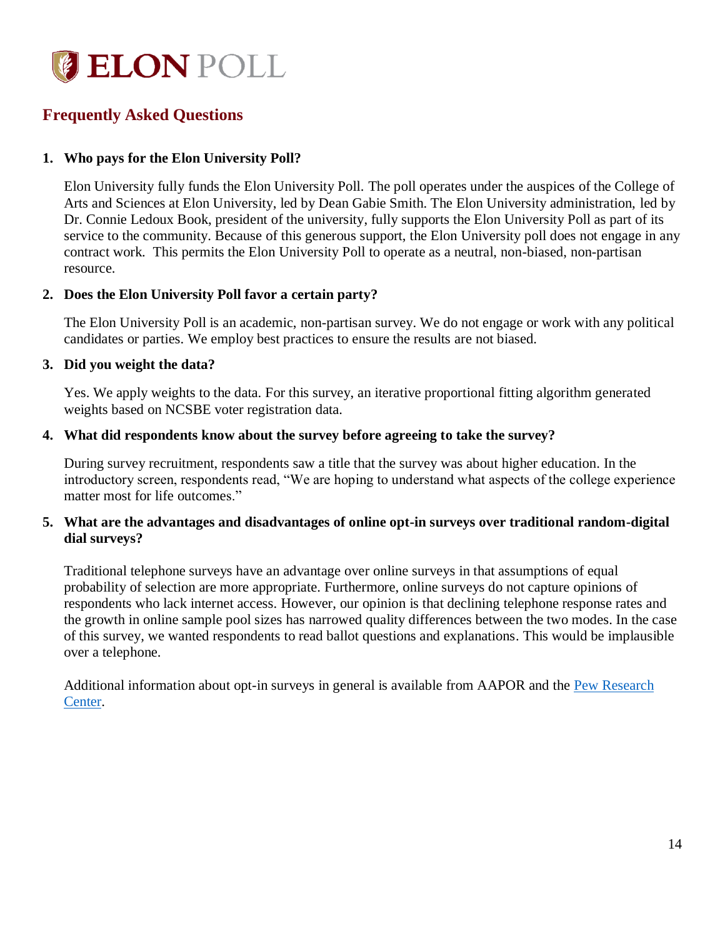

## <span id="page-14-0"></span>**Frequently Asked Questions**

### **1. Who pays for the Elon University Poll?**

Elon University fully funds the Elon University Poll. The poll operates under the auspices of the College of Arts and Sciences at Elon University, led by Dean Gabie Smith. The Elon University administration, led by Dr. Connie Ledoux Book, president of the university, fully supports the Elon University Poll as part of its service to the community. Because of this generous support, the Elon University poll does not engage in any contract work. This permits the Elon University Poll to operate as a neutral, non-biased, non-partisan resource.

### **2. Does the Elon University Poll favor a certain party?**

The Elon University Poll is an academic, non-partisan survey. We do not engage or work with any political candidates or parties. We employ best practices to ensure the results are not biased.

### **3. Did you weight the data?**

Yes. We apply weights to the data. For this survey, an iterative proportional fitting algorithm generated weights based on NCSBE voter registration data.

### **4. What did respondents know about the survey before agreeing to take the survey?**

During survey recruitment, respondents saw a title that the survey was about higher education. In the introductory screen, respondents read, "We are hoping to understand what aspects of the college experience matter most for life outcomes."

### **5. What are the advantages and disadvantages of online opt-in surveys over traditional random-digital dial surveys?**

Traditional telephone surveys have an advantage over online surveys in that assumptions of equal probability of selection are more appropriate. Furthermore, online surveys do not capture opinions of respondents who lack internet access. However, our opinion is that declining telephone response rates and the growth in online sample pool sizes has narrowed quality differences between the two modes. In the case of this survey, we wanted respondents to read ballot questions and explanations. This would be implausible over a telephone.

Additional information about opt-in surveys in general is available from AAPOR and the Pew Research [Center.](http://www.pewresearch.org/fact-tank/2018/08/06/what-are-nonprobability-surveys/)